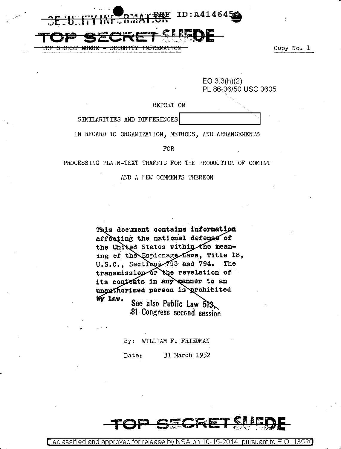

Copy No. 1

13526

| $EO$ 3.3(h)(2)       |
|----------------------|
| PL 86-36/50 USC 3605 |

## REPORT ON

<del>TNPORM&TTO</del>I

SIMILARITIES AND DIFFERENCES

<del>SRCIRTT</del>

**SUEDE** 

IN REGARD TO ORGANIZATION, METHODS, AND ARRANGEMENTS

**FOR** 

PROCESSING PLAIN-TEXT TRAFFIC FOR THE PRODUCTION OF COMINT

AND A FEW COMMENTS THEREON

This document contains information affecting the national defense of the United States within the meaning of the Espionage Laws, Title 18, U.S.C., Sections 793 and 794. The transmission or the revelation of its contents in any manner to an unauthorized person is prohibited  $W$  lav. See also Public Law 513

81 Congress second session

By: WILLIAM F. FRIEDMAN Date: 31 March 1952

Declassified and approved for release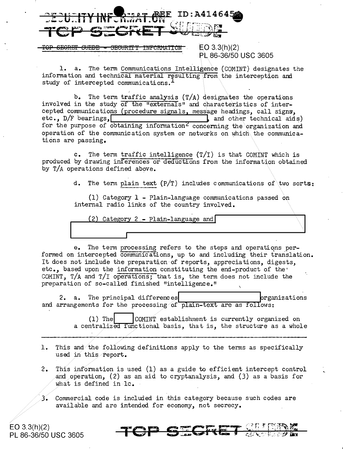

SEGRET SUEDE SECURTTY INFORMATION  $EO 3.3(h)(2)$ PL 86-36/50 USC 3605

The term Communications Intelligence (COMINT) designates the  $l. a.$ information and technical material resulting from the interception and study of intercepted communications.<sup>1</sup>

b. The term traffic analysis  $(T/A)$  designates the operations involved in the study of the "externals" and characteristics of intercepted communications (procedure signals, message headings, call signs, etc.,  $D/F$  bearings, and other technical aids) for the purpose of obtaining information<sup>2</sup> concerning the organization and operation of the communication system or networks on which the communications are passing.

The term traffic intelligence  $(T/T)$  is that COMINT which is  $c_{\bullet}$ produced by drawing inferences or deductions from the information obtained by T/A operations defined above.

d. The term plain text (P/T) includes communications of two sorts:

(1) Category 1 - Plain-language communications passed on internal radio links of the country involved.

(2) Category 2 - Plain-language and

e. The term processing refers to the steps and operations performed on intercepted communications, up to and including their translation. It does not include the preparation of reports, appreciations, digests, etc., based upon the information constituting the end-product of the COMINT,  $T/A$  and  $T/T$  operations; that is, the term does not include the preparation of so-called finished "intelligence."

2. a. The principal differences brganizations and arrangements for the processing of plain-text are as follows:

> $(1)$  The COMINT establishment is currently organized on a centralized functional basis, that is, the structure as a whole

- 1. This and the following definitions apply to the terms as specifically used in this report.
- $2.$ This information is used (1) as a guide to efficient intercept control and operation, (2) as an aid to cryptanalysis, and  $(3)$  as a basis for what is defined in lc.
- $3.$  Commercial code is included in this category because such codes are available and are intended for economy, not secrecy.

 $EO 3.3(h)(2)$ PL 86-36/50 USC 3605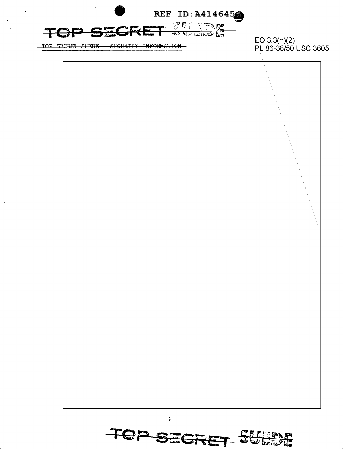

- SECURITY INFORMATION TOP SECRET SUEDE

 $EO 3.3(h)(2)$ PL 86-36/50 USC 3605

 $\overline{c}$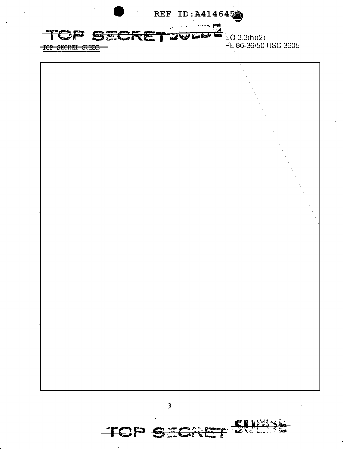



د».<br>المم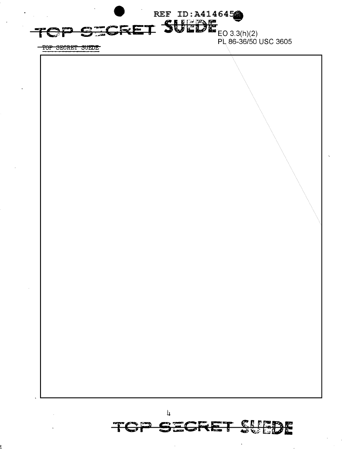

TOP SECRET SUEDE



4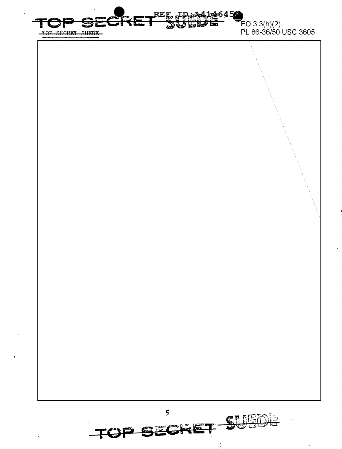

œ  $\epsilon$ 

 $\mathcal{L}^{(1)}$ 

 $\overline{\mathbf{r}}$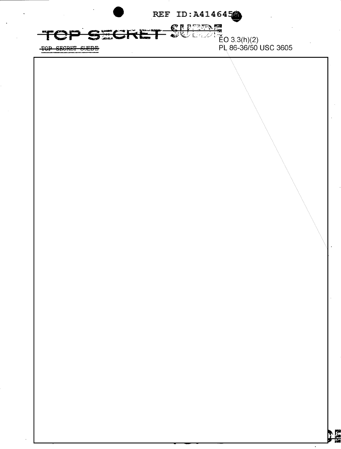REF ID: A414645 **CIPTERS** TOP SECRE كتباية فيكأ  $\frac{1}{5}$ O 3.3(h)(2) نزجه PL 86-36/50 USC 3605 TOP SECRET SUEDE **NE**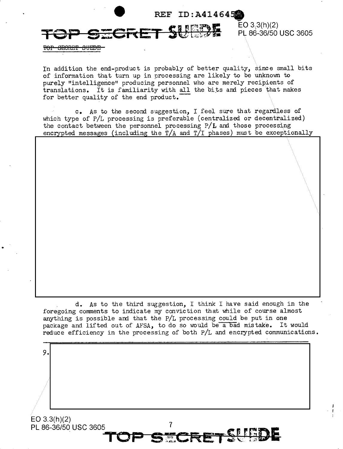

**ECRET SI** 

 $EO 3.3(h)(2)$ PL 86-36/50 USC 3605

<del>TOP SECRET SUEDE</del>

In addition the end-product is probably of better quality, since small bits of information that turn up in processing are likely to be unknown to purely "intelligence" producing personnel who are merely recipients of translations. It is familiarity with all the bits and pieces that makes for better quality of the end product.

c. As to the second suggestion, I feel sure that regardless of which type of P/L processing is preferable (centralized or decentralized) the contact between the personnel processing P/L and those processing encrypted messages (including the  $T/A$  and  $T/I$  phases) must be exceptionally

d. As to the third suggestion, I think I have said enough in the foregoing comments to indicate my conviction that while of course almost anything is possible and that the P/L processing could be put in one package and lifted out of AFSA, to do so would be a bad mistake. It would reduce efficiency in the processing of both P/L and encrypted communications.

 $\overline{7}$ 

EO 3.3(h)(2) PL 86-36/50 USC 3605

9.